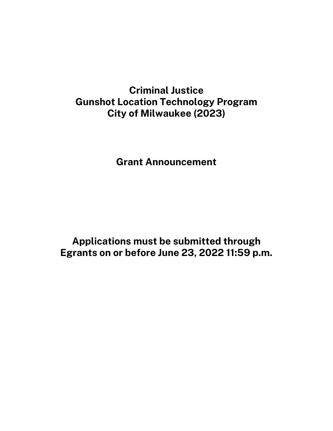# **Criminal Justice Gunshot Location Technology Program City of Milwaukee (2023)**

**Grant Announcement**

**Applications must be submitted through Egrants on or before June 23, 2022 11:59 p.m.**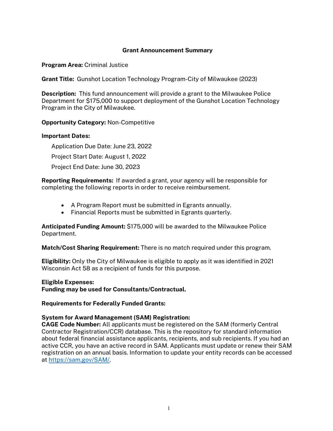#### **Grant Announcement Summary**

**Program Area:** Criminal Justice

**Grant Title:** Gunshot Location Technology Program-City of Milwaukee (2023)

**Description:** This fund announcement will provide a grant to the Milwaukee Police Department for \$175,000 to support deployment of the Gunshot Location Technology Program in the City of Milwaukee.

#### **Opportunity Category:** Non-Competitive

#### **Important Dates:**

Application Due Date: June 23, 2022 Project Start Date: August 1, 2022 Project End Date: June 30, 2023

**Reporting Requirements:** If awarded a grant, your agency will be responsible for completing the following reports in order to receive reimbursement.

- A Program Report must be submitted in Egrants annually.
- Financial Reports must be submitted in Egrants quarterly.

**Anticipated Funding Amount:** \$175,000 will be awarded to the Milwaukee Police Department.

**Match/Cost Sharing Requirement:** There is no match required under this program.

**Eligibility:** Only the City of Milwaukee is eligible to apply as it was identified in 2021 Wisconsin Act 58 as a recipient of funds for this purpose.

#### **Eligible Expenses:**

**Funding may be used for Consultants/Contractual.**

**Requirements for Federally Funded Grants:**

#### **System for Award Management (SAM) Registration:**

**CAGE Code Number:** All applicants must be registered on the SAM (formerly Central Contractor Registration/CCR) database. This is the repository for standard information about federal financial assistance applicants, recipients, and sub recipients. If you had an active CCR, you have an active record in SAM. Applicants must update or renew their SAM registration on an annual basis. Information to update your entity records can be accessed at [https://sam.gov/SAM/.](https://sam.gov/SAM/)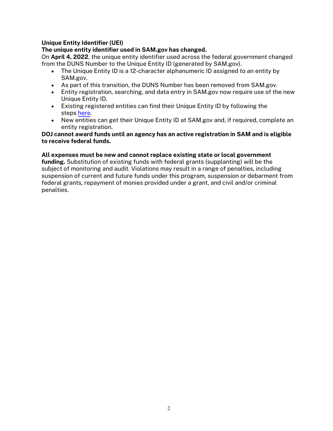## **Unique Entity Identifier (UEI)**

# **The unique entity identifier used in SAM.gov has changed.**

On **April 4, 2022**, the unique entity identifier used across the federal government changed from the DUNS Number to the Unique Entity ID (generated by SAM.gov).

- The Unique Entity ID is a 12-character alphanumeric ID assigned to an entity by SAM.gov.
- As part of this transition, the DUNS Number has been removed from SAM.gov.
- Entity registration, searching, and data entry in SAM.gov now require use of the new Unique Entity ID.
- Existing registered entities can find their Unique Entity ID by following the steps [here.](https://www.fsd.gov/gsafsd_sp?id=kb_article_view&sysparm_article=KB0041254)
- New entities can get their Unique Entity ID at SAM.gov and, if required, complete an entity registration.

#### **DOJ cannot award funds until an agency has an active registration in SAM and is eligible to receive federal funds.**

## **All expenses must be new and cannot replace existing state or local government**

**funding.** Substitution of existing funds with federal grants (supplanting) will be the subject of monitoring and audit. Violations may result in a range of penalties, including suspension of current and future funds under this program, suspension or debarment from federal grants, repayment of monies provided under a grant, and civil and/or criminal penalties.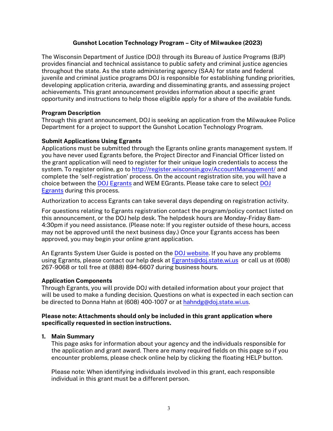#### **Gunshot Location Technology Program – City of Milwaukee (2023)**

The Wisconsin Department of Justice (DOJ) through its Bureau of Justice Programs (BJP) provides financial and technical assistance to public safety and criminal justice agencies throughout the state. As the state administering agency (SAA) for state and federal juvenile and criminal justice programs DOJ is responsible for establishing funding priorities, developing application criteria, awarding and disseminating grants, and assessing project achievements. This grant announcement provides information about a specific grant opportunity and instructions to help those eligible apply for a share of the available funds.

#### **Program Description**

Through this grant announcement, DOJ is seeking an application from the Milwaukee Police Department for a project to support the Gunshot Location Technology Program.

#### **Submit Applications Using Egrants**

Applications must be submitted through the Egrants online grants management system. If you have never used Egrants before, the Project Director and Financial Officer listed on the grant application will need to register for their unique login credentials to access the system. To register online, go t[o http://register.wisconsin.gov/AccountManagement/](http://register.wisconsin.gov/AccountManagement/) and complete the 'self-registration' process. On the account registration site, you will have a choice between the DOJ [Egrants](https://egrants.doj.state.wi.us/EGMIS.WEBUI/) and WEM EGrants. Please take care to select [DOJ](https://egrants.doj.state.wi.us/EGMIS.WEBUI/)  [Egrants](https://egrants.doj.state.wi.us/EGMIS.WEBUI/) during this process.

Authorization to access Egrants can take several days depending on registration activity.

For questions relating to Egrants registration contact the program/policy contact listed on this announcement, or the DOJ help desk. The helpdesk hours are Monday-Friday 8am-4:30pm if you need assistance. (Please note: If you register outside of these hours, access may not be approved until the next business day.) Once your Egrants access has been approved, you may begin your online grant application.

An Egrants System User Guide is posted on the [DOJ website.](https://egrants.doj.state.wi.us/egmis/login.aspx) If you have any problems using Egrants, please contact our help desk at [Egrants@doj.state.wi.us](mailto:Egrants@doj.state.wi.us) or call us at (608) 267-9068 or toll free at (888) 894-6607 during business hours.

#### **Application Components**

Through Egrants, you will provide DOJ with detailed information about your project that will be used to make a funding decision. Questions on what is expected in each section can be directed to Donna Hahn at (608) 400-1007 or at [hahndg@doj.state.wi.us.](mailto:hahndg@doj.state.wi.us)

#### **Please note: Attachments should only be included in this grant application where specifically requested in section instructions.**

#### **1. Main Summary**

This page asks for information about your agency and the individuals responsible for the application and grant award. There are many required fields on this page so if you encounter problems, please check online help by clicking the floating HELP button.

Please note: When identifying individuals involved in this grant, each responsible individual in this grant must be a different person.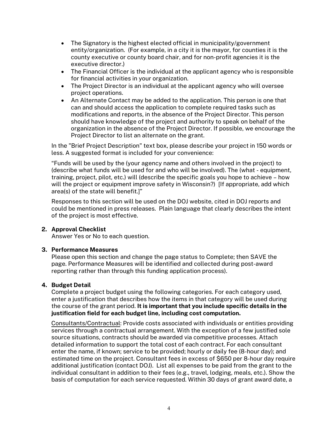- The Signatory is the highest elected official in municipality/government entity/organization. (For example, in a city it is the mayor, for counties it is the county executive or county board chair, and for non-profit agencies it is the executive director.)
- The Financial Officer is the individual at the applicant agency who is responsible for financial activities in your organization.
- The Project Director is an individual at the applicant agency who will oversee project operations.
- An Alternate Contact may be added to the application. This person is one that can and should access the application to complete required tasks such as modifications and reports, in the absence of the Project Director. This person should have knowledge of the project and authority to speak on behalf of the organization in the absence of the Project Director. If possible, we encourage the Project Director to list an alternate on the grant.

In the "Brief Project Description" text box, please describe your project in 150 words or less. A suggested format is included for your convenience:

"Funds will be used by the (your agency name and others involved in the project) to (describe what funds will be used for and who will be involved). The (what - equipment, training, project, pilot, etc.) will (describe the specific goals you hope to achieve – how will the project or equipment improve safety in Wisconsin?) [If appropriate, add which area(s) of the state will benefit.]"

Responses to this section will be used on the DOJ website, cited in DOJ reports and could be mentioned in press releases. Plain language that clearly describes the intent of the project is most effective.

#### **2. Approval Checklist**

Answer Yes or No to each question.

#### **3. Performance Measures**

Please open this section and change the page status to Complete; then SAVE the page. Performance Measures will be identified and collected during post-award reporting rather than through this funding application process).

#### **4. Budget Detail**

Complete a project budget using the following categories. For each category used, enter a justification that describes how the items in that category will be used during the course of the grant period. **It is important that you include specific details in the justification field for each budget line, including cost computation.** 

Consultants/Contractual: Provide costs associated with individuals or entities providing services through a contractual arrangement. With the exception of a few justified sole source situations, contracts should be awarded via competitive processes. Attach detailed information to support the total cost of each contract. For each consultant enter the name, if known; service to be provided; hourly or daily fee (8-hour day); and estimated time on the project. Consultant fees in excess of \$650 per 8-hour day require additional justification (contact DOJ). List all expenses to be paid from the grant to the individual consultant in addition to their fees (e.g., travel, lodging, meals, etc.). Show the basis of computation for each service requested. Within 30 days of grant award date, a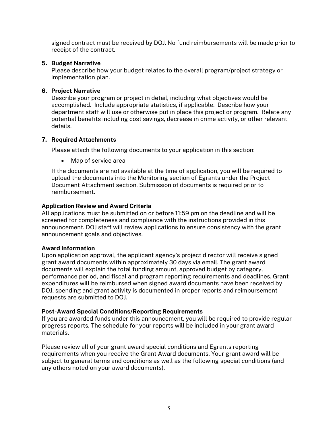signed contract must be received by DOJ. No fund reimbursements will be made prior to receipt of the contract.

#### **5. Budget Narrative**

Please describe how your budget relates to the overall program/project strategy or implementation plan.

## **6. Project Narrative**

Describe your program or project in detail, including what objectives would be accomplished. Include appropriate statistics, if applicable. Describe how your department staff will use or otherwise put in place this project or program. Relate any potential benefits including cost savings, decrease in crime activity, or other relevant details.

## **7. Required Attachments**

Please attach the following documents to your application in this section:

• Map of service area

If the documents are not available at the time of application, you will be required to upload the documents into the Monitoring section of Egrants under the Project Document Attachment section. Submission of documents is required prior to reimbursement.

## **Application Review and Award Criteria**

All applications must be submitted on or before 11:59 pm on the deadline and will be screened for completeness and compliance with the instructions provided in this announcement. DOJ staff will review applications to ensure consistency with the grant announcement goals and objectives.

#### **Award Information**

Upon application approval, the applicant agency's project director will receive signed grant award documents within approximately 30 days via email. The grant award documents will explain the total funding amount, approved budget by category, performance period, and fiscal and program reporting requirements and deadlines. Grant expenditures will be reimbursed when signed award documents have been received by DOJ, spending and grant activity is documented in proper reports and reimbursement requests are submitted to DOJ.

## **Post-Award Special Conditions/Reporting Requirements**

If you are awarded funds under this announcement, you will be required to provide regular progress reports. The schedule for your reports will be included in your grant award materials.

Please review all of your grant award special conditions and Egrants reporting requirements when you receive the Grant Award documents. Your grant award will be subject to general terms and conditions as well as the following special conditions (and any others noted on your award documents).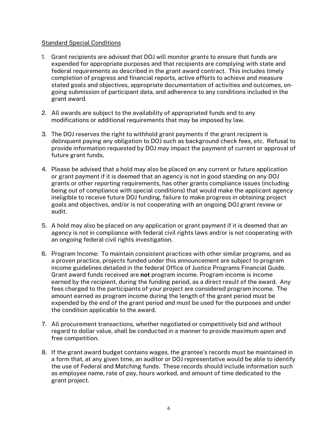## Standard Special Conditions

- 1. Grant recipients are advised that DOJ will monitor grants to ensure that funds are expended for appropriate purposes and that recipients are complying with state and federal requirements as described in the grant award contract. This includes timely completion of progress and financial reports, active efforts to achieve and measure stated goals and objectives, appropriate documentation of activities and outcomes, ongoing submission of participant data, and adherence to any conditions included in the grant award.
- 2. All awards are subject to the availability of appropriated funds and to any modifications or additional requirements that may be imposed by law.
- 3. The DOJ reserves the right to withhold grant payments if the grant recipient is delinquent paying any obligation to DOJ such as background check fees, etc. Refusal to provide information requested by DOJ may impact the payment of current or approval of future grant funds.
- 4. Please be advised that a hold may also be placed on any current or future application or grant payment if it is deemed that an agency is not in good standing on any DOJ grants or other reporting requirements, has other grants compliance issues (including being out of compliance with special conditions) that would make the applicant agency ineligible to receive future DOJ funding, failure to make progress in obtaining project goals and objectives, and/or is not cooperating with an ongoing DOJ grant review or audit.
- 5. A hold may also be placed on any application or grant payment if it is deemed that an agency is not in compliance with federal civil rights laws and/or is not cooperating with an ongoing federal civil rights investigation.
- 6. Program Income: To maintain consistent practices with other similar programs, and as a proven practice, projects funded under this announcement are subject to program income guidelines detailed in the federal Office of Justice Programs Financial Guide. Grant award funds received are **not** program income. Program income is income earned by the recipient, during the funding period, as a direct result of the award. Any fees charged to the participants of your project are considered program income. The amount earned as program income during the length of the grant period must be expended by the end of the grant period and must be used for the purposes and under the condition applicable to the award.
- 7. All procurement transactions, whether negotiated or competitively bid and without regard to dollar value, shall be conducted in a manner to provide maximum open and free competition.
- 8. If the grant award budget contains wages, the grantee's records must be maintained in a form that, at any given time, an auditor or DOJ representative would be able to identify the use of Federal and Matching funds. These records should include information such as employee name, rate of pay, hours worked, and amount of time dedicated to the grant project.